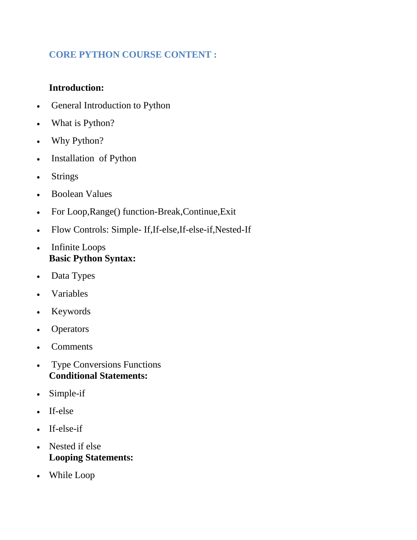## **CORE PYTHON COURSE CONTENT :**

## **Introduction:**

- General Introduction to Python
- What is Python?
- Why Python?
- Installation of Python
- Strings
- Boolean Values
- For Loop,Range() function-Break,Continue,Exit
- Flow Controls: Simple- If,If-else,If-else-if,Nested-If
- Infinite Loops **Basic Python Syntax:**
- Data Types
- Variables
- Keywords
- Operators
- **Comments**
- Type Conversions Functions **Conditional Statements:**
- Simple-if
- If-else
- $\cdot$  If-else-if
- Nested if else **Looping Statements:**
- While Loop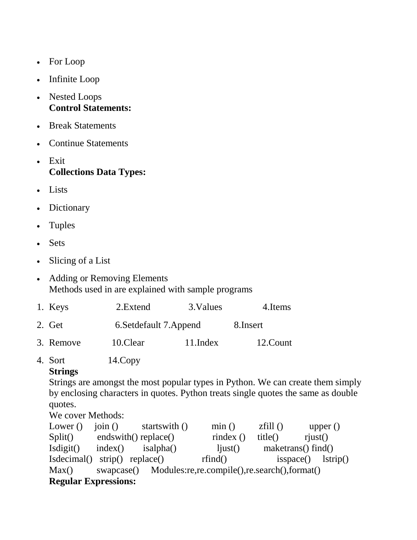- For Loop
- Infinite Loop
- Nested Loops **Control Statements:**
- Break Statements
- Continue Statements
- Exit **Collections Data Types:**
- Lists
- Dictionary
- Tuples
- Sets
- Slicing of a List
- Adding or Removing Elements Methods used in are explained with sample programs

| 1. Keys   | 2. Extend                | 3. Values    | 4. Items  |  |
|-----------|--------------------------|--------------|-----------|--|
| 2. Get    | 6. Set default 7. Append |              | 8. Insert |  |
| 3. Remove | 10.Clear                 | $11$ . Index | 12.Count  |  |

4. Sort 14.Copy

## **Strings**

Strings are amongst the most popular types in Python. We can create them simply by enclosing characters in quotes. Python treats single quotes the same as double quotes.

## We cover Methods:

| Lower $()$                                                       | $\overline{\text{ioin}}$ () | startswith () | min()         | zfill() | upper $()$           |  |  |  |  |
|------------------------------------------------------------------|-----------------------------|---------------|---------------|---------|----------------------|--|--|--|--|
| Split()                                                          | endswith() replace()        |               | rindex $()$   | title() | riust()              |  |  |  |  |
| Isdigit()                                                        | index()                     | isalpha()     | $1$ just $()$ |         | maketrans() find()   |  |  |  |  |
| Isdecimal() strip() replace()                                    |                             |               | rfind()       |         | $isspace()$ lstrip() |  |  |  |  |
| swapcase() Modules:re.re.compile().re.search().format()<br>Max() |                             |               |               |         |                      |  |  |  |  |
| <b>Regular Expressions:</b>                                      |                             |               |               |         |                      |  |  |  |  |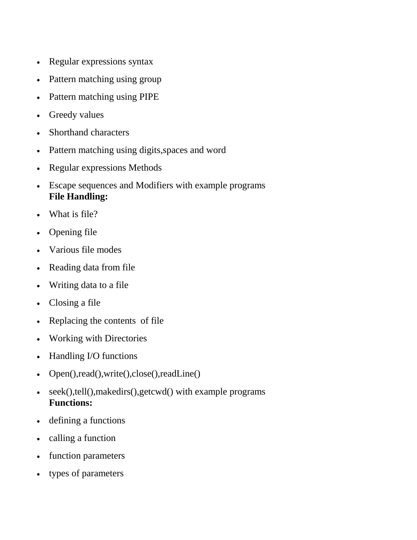- Regular expressions syntax
- Pattern matching using group
- Pattern matching using PIPE
- Greedy values
- Shorthand characters
- Pattern matching using digits, spaces and word
- Regular expressions Methods
- Escape sequences and Modifiers with example programs **File Handling:**
- What is file?
- Opening file
- Various file modes
- Reading data from file
- Writing data to a file
- Closing a file
- Replacing the contents of file
- Working with Directories
- Handling I/O functions
- Open(),read(),write(),close(),readLine()
- seek(),tell(),makedirs(),getcwd() with example programs **Functions:**
- defining a functions
- calling a function
- function parameters
- types of parameters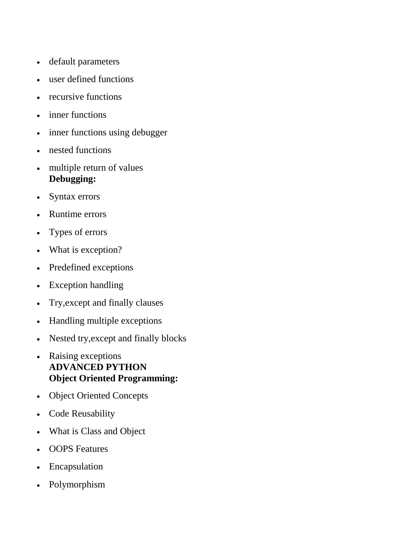- default parameters
- user defined functions
- recursive functions
- inner functions
- inner functions using debugger
- nested functions
- multiple return of values **Debugging:**
- Syntax errors
- Runtime errors
- Types of errors
- What is exception?
- Predefined exceptions
- Exception handling
- Try,except and finally clauses
- Handling multiple exceptions
- Nested try, except and finally blocks
- Raising exceptions **ADVANCED PYTHON Object Oriented Programming:**
- Object Oriented Concepts
- Code Reusability
- What is Class and Object
- OOPS Features
- Encapsulation
- Polymorphism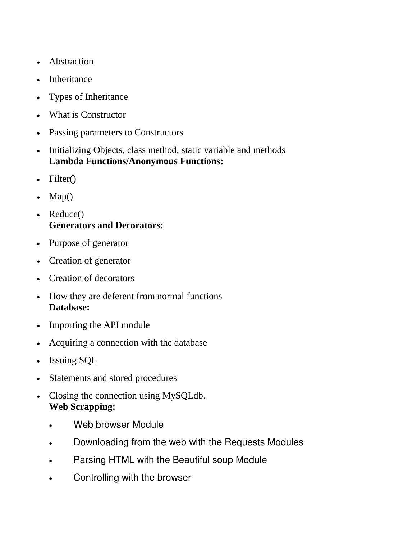- Abstraction
- Inheritance
- Types of Inheritance
- What is Constructor
- Passing parameters to Constructors
- Initializing Objects, class method, static variable and methods **Lambda Functions/Anonymous Functions:**
- $\bullet$  Filter()
- $\bullet$  Map()
- Reduce() **Generators and Decorators:**
- Purpose of generator
- Creation of generator
- Creation of decorators
- How they are deferent from normal functions **Database:**
- Importing the API module
- Acquiring a connection with the database
- Issuing SQL
- Statements and stored procedures
- Closing the connection using MySQLdb. **Web Scrapping:**
	- Web browser Module
	- Downloading from the web with the Requests Modules
	- **Parsing HTML with the Beautiful soup Module**
	- Controlling with the browser